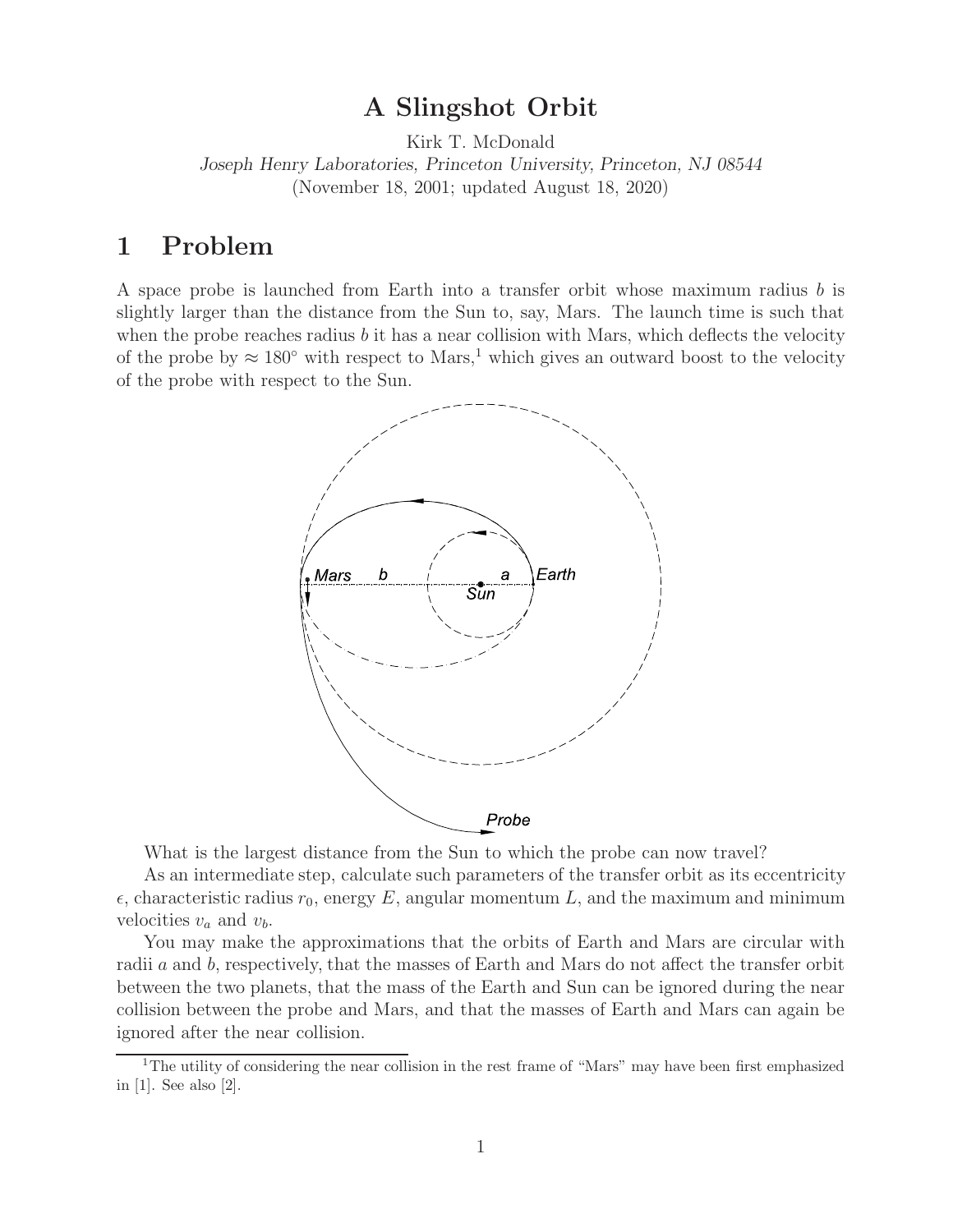**A Slingshot Orbit** Kirk T. McDonald *Joseph Henry Laboratories, Princeton University, Princeton, NJ 08544* (November 18, 2001; updated August 18, 2020)

A space probe is launched from Earth into a transfer orbit whose maximum radius b is slightly larger than the distance from the Sun to, say, Mars. The launch time is such that when the probe reaches radius  $b$  it has a near collision with Mars, which deflects the velocity of the probe by  $\approx 180^\circ$  with respect to Mars,<sup>1</sup> which gives an outward boost to the velocity of the probe with respect to the Sun.



What is the largest distance from the Sun to which the probe can now travel?

As an intermediate step, calculate such parameters of the transfer orbit as its eccentricity  $\epsilon$ , characteristic radius  $r_0$ , energy E, angular momentum L, and the maximum and minimum velocities  $v_a$  and  $v_b$ .

You may make the approximations that the orbits of Earth and Mars are circular with radii a and b, respectively, that the masses of Earth and Mars do not affect the transfer orbit between the two planets, that the mass of the Earth and Sun can be ignored during the near collision between the probe and Mars, and that the masses of Earth and Mars can again be ignored after the near collision.

<sup>&</sup>lt;sup>1</sup>The utility of considering the near collision in the rest frame of "Mars" may have been first emphasized in [1]. See also [2].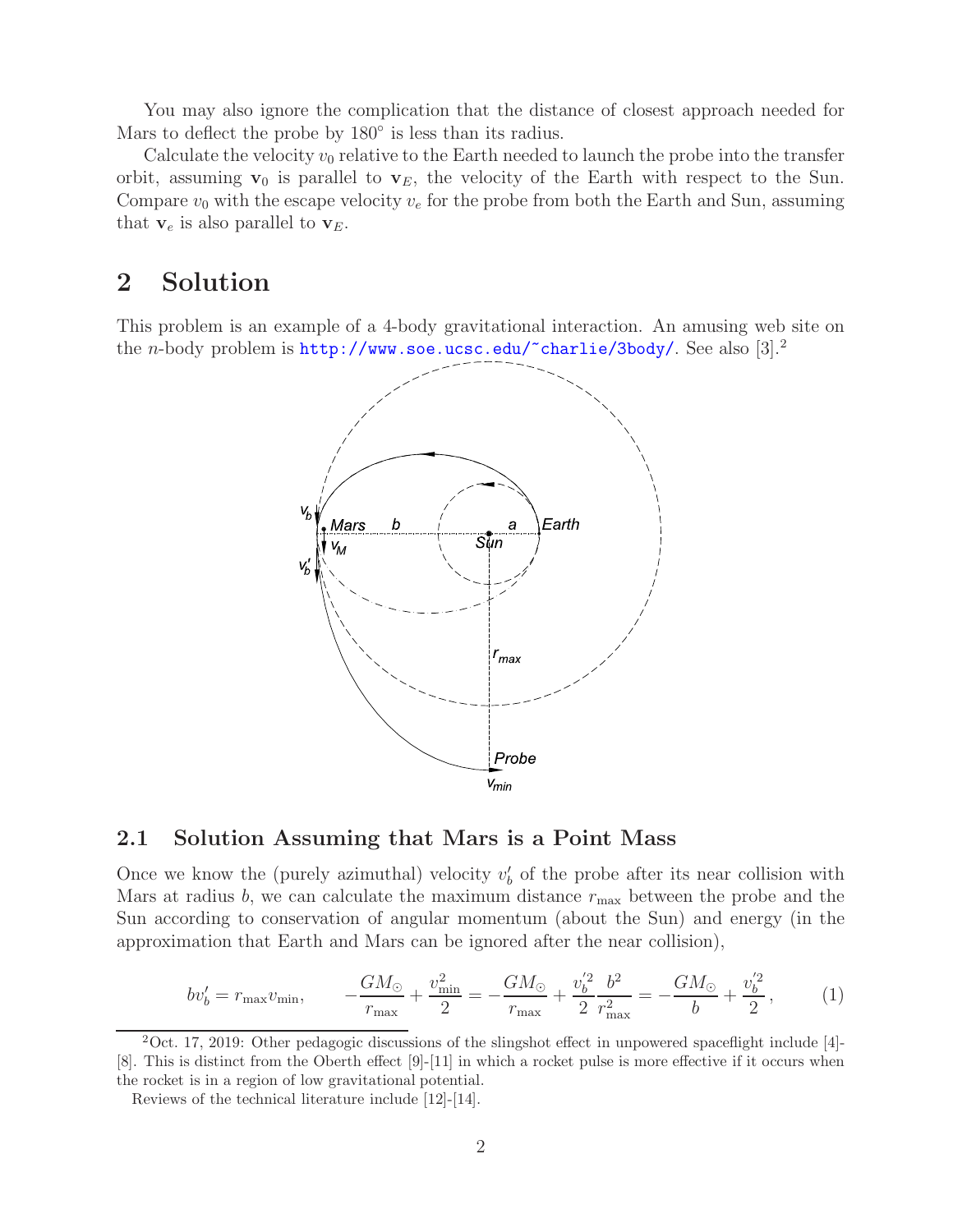You may also ignore the complication that the distance of closest approach needed for Mars to deflect the probe by 180◦ is less than its radius.

Calculate the velocity  $v_0$  relative to the Earth needed to launch the probe into the transfer orbit, assuming  $\mathbf{v}_0$  is parallel to  $\mathbf{v}_E$ , the velocity of the Earth with respect to the Sun. Compare  $v_0$  with the escape velocity  $v_e$  for the probe from both the Earth and Sun, assuming that  $\mathbf{v}_e$  is also parallel to  $\mathbf{v}_E$ .

### $\overline{2}$ **2 Solution**

This problem is an example of a 4-body gravitational interaction. An amusing web site on the *n*-body problem is  $\text{http://www.soe.ucsc.edu/~charlie/3body/}.$  See also [3].<sup>2</sup>



# **2.1 Solution Assuming that Mars is a Point Mass**

Once we know the (purely azimuthal) velocity  $v'_{b}$  of the probe after its near collision with Mars at radius b, we can calculate the maximum distance  $r_{\text{max}}$  between the probe and the Sun according to conservation of angular momentum (about the Sun) and energy (in the approximation that Earth and Mars can be ignored after the near collision),

$$
bv'_b = r_{\text{max}}v_{\text{min}}, \qquad -\frac{GM_\odot}{r_{\text{max}}} + \frac{v_{\text{min}}^2}{2} = -\frac{GM_\odot}{r_{\text{max}}} + \frac{v_b^{'2}}{2}\frac{b^2}{r_{\text{max}}^2} = -\frac{GM_\odot}{b} + \frac{v_b^{'2}}{2},\tag{1}
$$

 $2$ Oct. 17, 2019: Other pedagogic discussions of the slingshot effect in unpowered spaceflight include [4]-[8]. This is distinct from the Oberth effect [9]-[11] in which a rocket pulse is more effective if it occurs when the rocket is in a region of low gravitational potential.

Reviews of the technical literature include [12]-[14].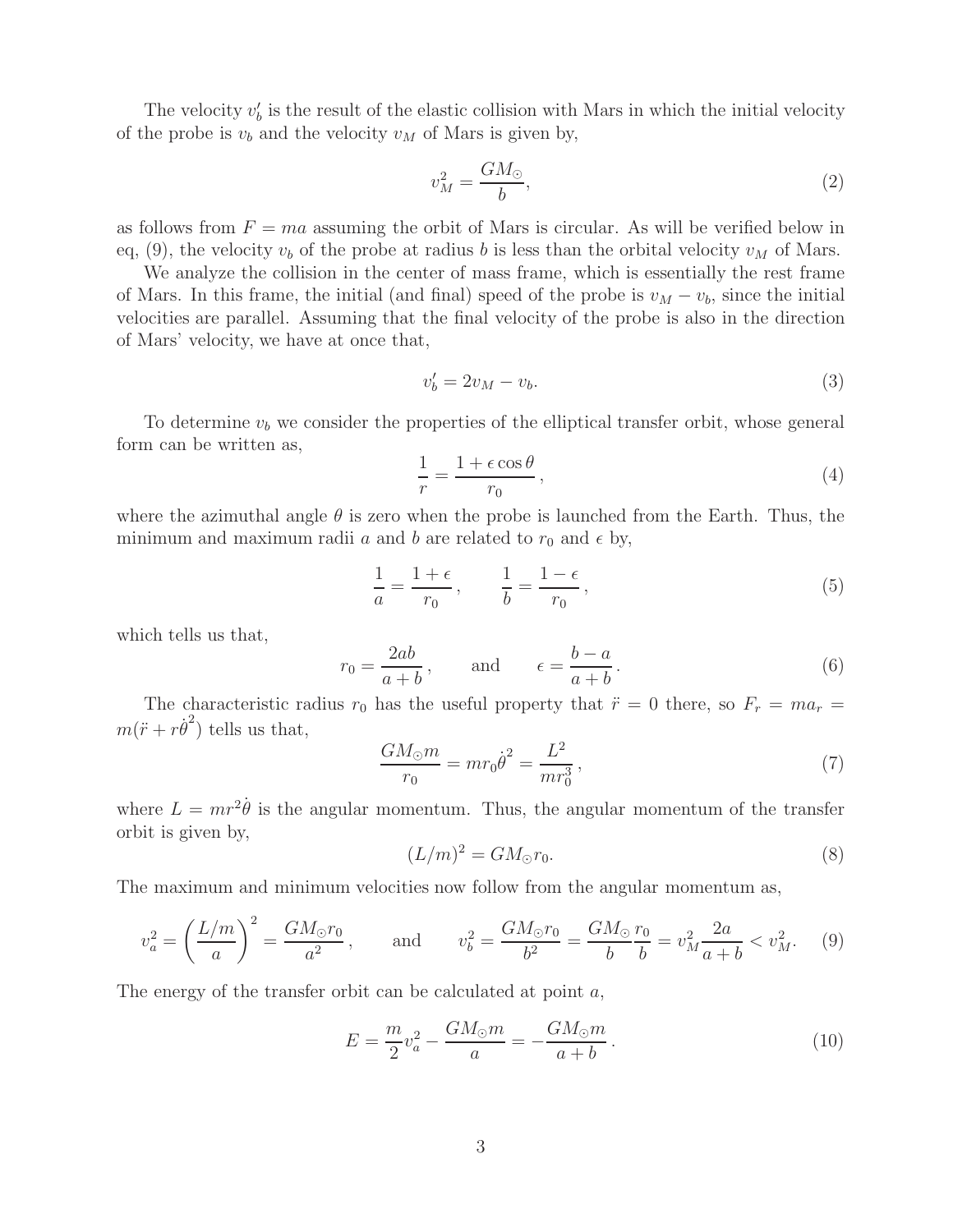The velocity  $v'_{b}$  is the result of the elastic collision with Mars in which the initial velocity of the probe is  $v_b$  and the velocity  $v_M$  of Mars is given by,

$$
v_M^2 = \frac{GM_\odot}{b},\tag{2}
$$

as follows from  $F = ma$  assuming the orbit of Mars is circular. As will be verified below in eq, (9), the velocity  $v_b$  of the probe at radius b is less than the orbital velocity  $v_M$  of Mars.

We analyze the collision in the center of mass frame, which is essentially the rest frame of Mars. In this frame, the initial (and final) speed of the probe is  $v_M - v_b$ , since the initial velocities are parallel. Assuming that the final velocity of the probe is also in the direction of Mars' velocity, we have at once that,

$$
v_b' = 2v_M - v_b. \tag{3}
$$

To determine  $v<sub>b</sub>$  we consider the properties of the elliptical transfer orbit, whose general form can be written as,

$$
\frac{1}{r} = \frac{1 + \epsilon \cos \theta}{r_0},\tag{4}
$$

where the azimuthal angle  $\theta$  is zero when the probe is launched from the Earth. Thus, the minimum and maximum radii a and b are related to  $r_0$  and  $\epsilon$  by,

$$
\frac{1}{a} = \frac{1+\epsilon}{r_0}, \qquad \frac{1}{b} = \frac{1-\epsilon}{r_0}, \tag{5}
$$

which tells us that,

$$
r_0 = \frac{2ab}{a+b}
$$
, and  $\epsilon = \frac{b-a}{a+b}$ . (6)

The characteristic radius  $r_0$  has the useful property that  $\ddot{r} = 0$  there, so  $F_r = ma_r =$  $m(\ddot{r} + r\dot{\theta}^2)$  tells us that,

$$
\frac{GM_{\odot}m}{r_0} = mr_0 \dot{\theta}^2 = \frac{L^2}{mr_0^3},\tag{7}
$$

where  $L = mr^2\dot{\theta}$  is the angular momentum. Thus, the angular momentum of the transfer orbit is given by,

$$
(L/m)^2 = GM_{\odot}r_0. \tag{8}
$$

The maximum and minimum velocities now follow from the angular momentum as,

$$
v_a^2 = \left(\frac{L/m}{a}\right)^2 = \frac{GM_{\odot}r_0}{a^2}, \quad \text{and} \quad v_b^2 = \frac{GM_{\odot}r_0}{b^2} = \frac{GM_{\odot}}{b}\frac{r_0}{b} = v_M^2 \frac{2a}{a+b} < v_M^2. \tag{9}
$$

The energy of the transfer orbit can be calculated at point  $a$ ,

$$
E = \frac{m}{2}v_a^2 - \frac{GM_{\odot}m}{a} = -\frac{GM_{\odot}m}{a+b}.
$$
 (10)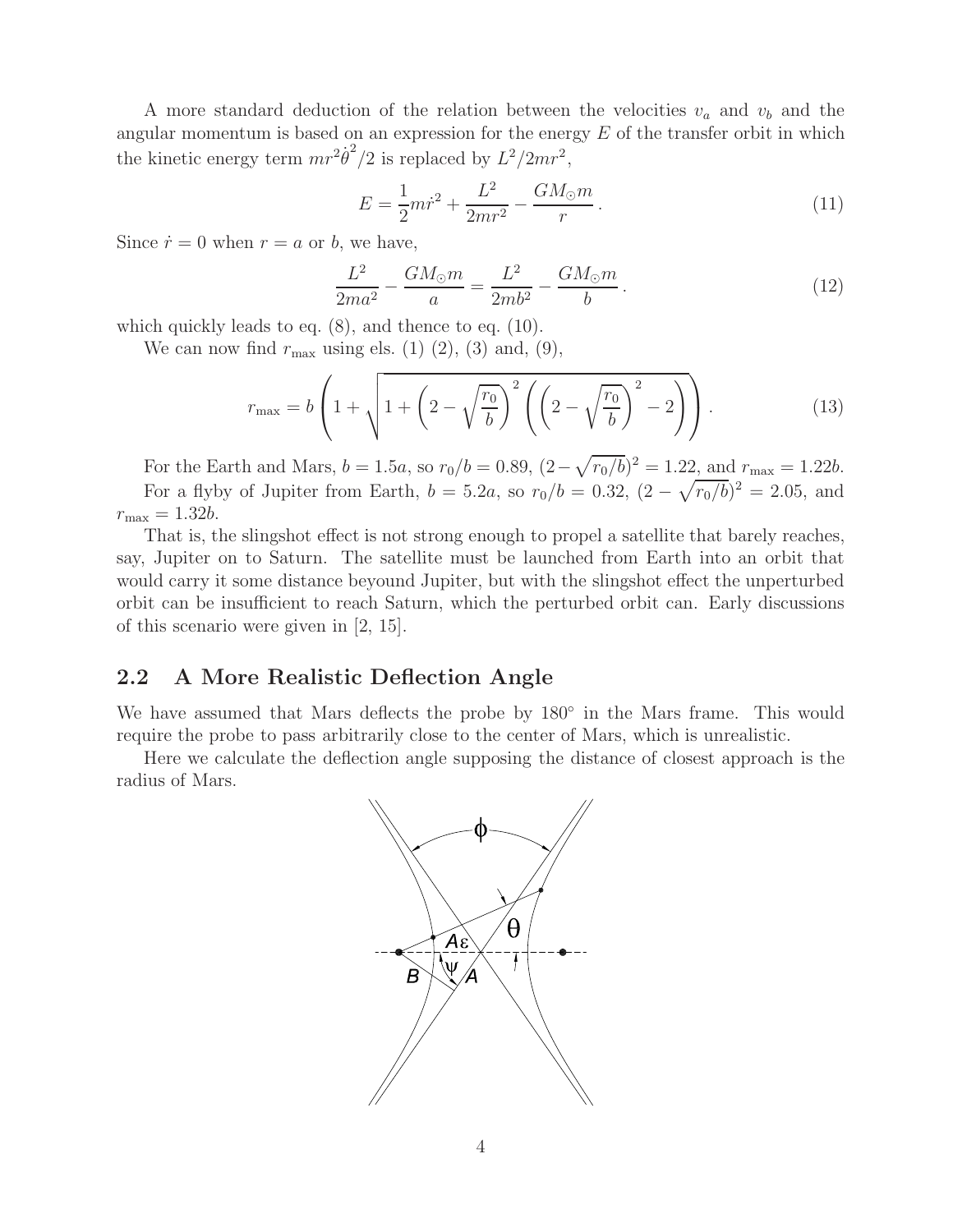A more standard deduction of the relation between the velocities v*<sup>a</sup>* and v*<sup>b</sup>* and the angular momentum is based on an expression for the energy  $E$  of the transfer orbit in which the kinetic energy term  $mr^2\dot{\theta}^2/2$  is replaced by  $L^2/2mr^2$ ,

$$
E = \frac{1}{2}m\dot{r}^2 + \frac{L^2}{2mr^2} - \frac{GM_{\odot}m}{r}.
$$
\n(11)

Since  $\dot{r} = 0$  when  $r = a$  or b, we have,

$$
\frac{L^2}{2ma^2} - \frac{GM_{\odot}m}{a} = \frac{L^2}{2mb^2} - \frac{GM_{\odot}m}{b}.
$$
 (12)

which quickly leads to eq. (8), and thence to eq. (10).

We can now find  $r_{\text{max}}$  using els. (1) (2), (3) and, (9),

$$
r_{\max} = b \left( 1 + \sqrt{1 + \left( 2 - \sqrt{\frac{r_0}{b}} \right)^2 \left( \left( 2 - \sqrt{\frac{r_0}{b}} \right)^2 - 2 \right)} \right). \tag{13}
$$

For the Earth and Mars,  $b = 1.5a$ , so  $r_0/b = 0.89$ ,  $(2 - \sqrt{r_0/b})^2 = 1.22$ , and  $r_{\text{max}} = 1.22b$ . For a flyby of Jupiter from Earth,  $b = 5.2a$ , so  $r_0/b = 0.32$ ,  $(2 - \sqrt{r_0/b})^2 = 2.05$ , and  $r_{\text{max}} = 1.32b$ .

That is, the slingshot effect is not strong enough to propel a satellite that barely reaches, say, Jupiter on to Saturn. The satellite must be launched from Earth into an orbit that would carry it some distance beyound Jupiter, but with the slingshot effect the unperturbed orbit can be insufficient to reach Saturn, which the perturbed orbit can. Early discussions of this scenario were given in [2, 15].

### **2.2 A More Realistic Deflection Angle**

We have assumed that Mars deflects the probe by 180<sup>°</sup> in the Mars frame. This would require the probe to pass arbitrarily close to the center of Mars, which is unrealistic.

Here we calculate the deflection angle supposing the distance of closest approach is the radius of Mars.

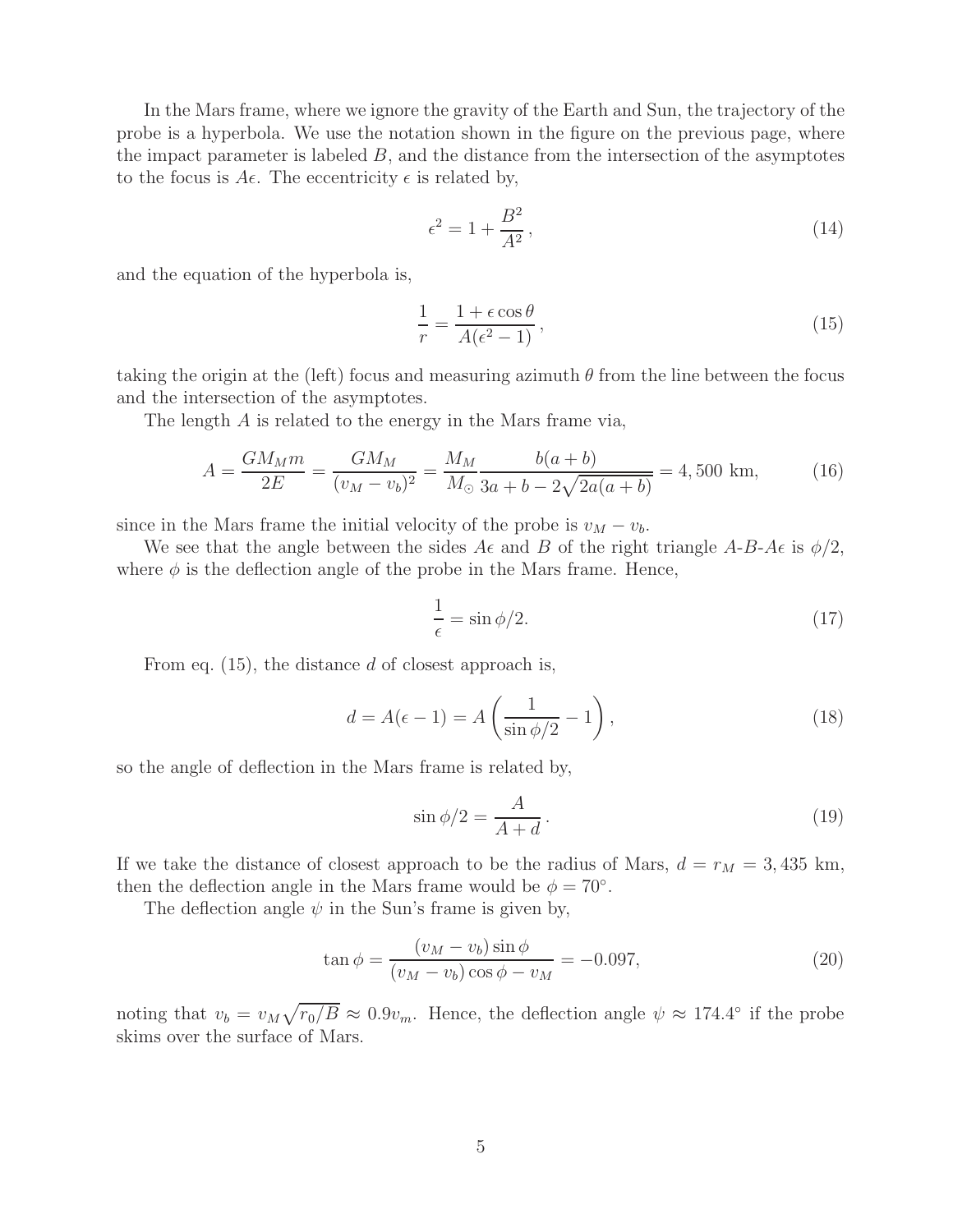In the Mars frame, where we ignore the gravity of the Earth and Sun, the trajectory of the probe is a hyperbola. We use the notation shown in the figure on the previous page, where the impact parameter is labeled  $B$ , and the distance from the intersection of the asymptotes to the focus is  $A\epsilon$ . The eccentricity  $\epsilon$  is related by,

$$
\epsilon^2 = 1 + \frac{B^2}{A^2},\tag{14}
$$

and the equation of the hyperbola is,

$$
\frac{1}{r} = \frac{1 + \epsilon \cos \theta}{A(\epsilon^2 - 1)},\tag{15}
$$

taking the origin at the (left) focus and measuring azimuth  $\theta$  from the line between the focus and the intersection of the asymptotes.

The length A is related to the energy in the Mars frame via,

$$
A = \frac{GM_M m}{2E} = \frac{GM_M}{(v_M - v_b)^2} = \frac{M_M}{M_\odot} \frac{b(a+b)}{3a + b - 2\sqrt{2a(a+b)}} = 4,500 \text{ km},\tag{16}
$$

since in the Mars frame the initial velocity of the probe is  $v_M - v_b$ .

We see that the angle between the sides  $A\epsilon$  and  $B$  of the right triangle  $A-B-A\epsilon$  is  $\phi/2$ , where  $\phi$  is the deflection angle of the probe in the Mars frame. Hence,

$$
\frac{1}{\epsilon} = \sin \phi / 2. \tag{17}
$$

From eq.  $(15)$ , the distance d of closest approach is,

$$
d = A(\epsilon - 1) = A\left(\frac{1}{\sin \phi/2} - 1\right),\tag{18}
$$

so the angle of deflection in the Mars frame is related by,

$$
\sin \phi/2 = \frac{A}{A+d} \,. \tag{19}
$$

If we take the distance of closest approach to be the radius of Mars,  $d = r_M = 3,435$  km, then the deflection angle in the Mars frame would be  $\phi = 70^{\circ}$ .

The deflection angle  $\psi$  in the Sun's frame is given by,

$$
\tan \phi = \frac{(v_M - v_b)\sin \phi}{(v_M - v_b)\cos \phi - v_M} = -0.097,\tag{20}
$$

noting that  $v_b = v_M \sqrt{r_0/B} \approx 0.9v_m$ . Hence, the deflection angle  $\psi \approx 174.4^\circ$  if the probe skims over the surface of Mars.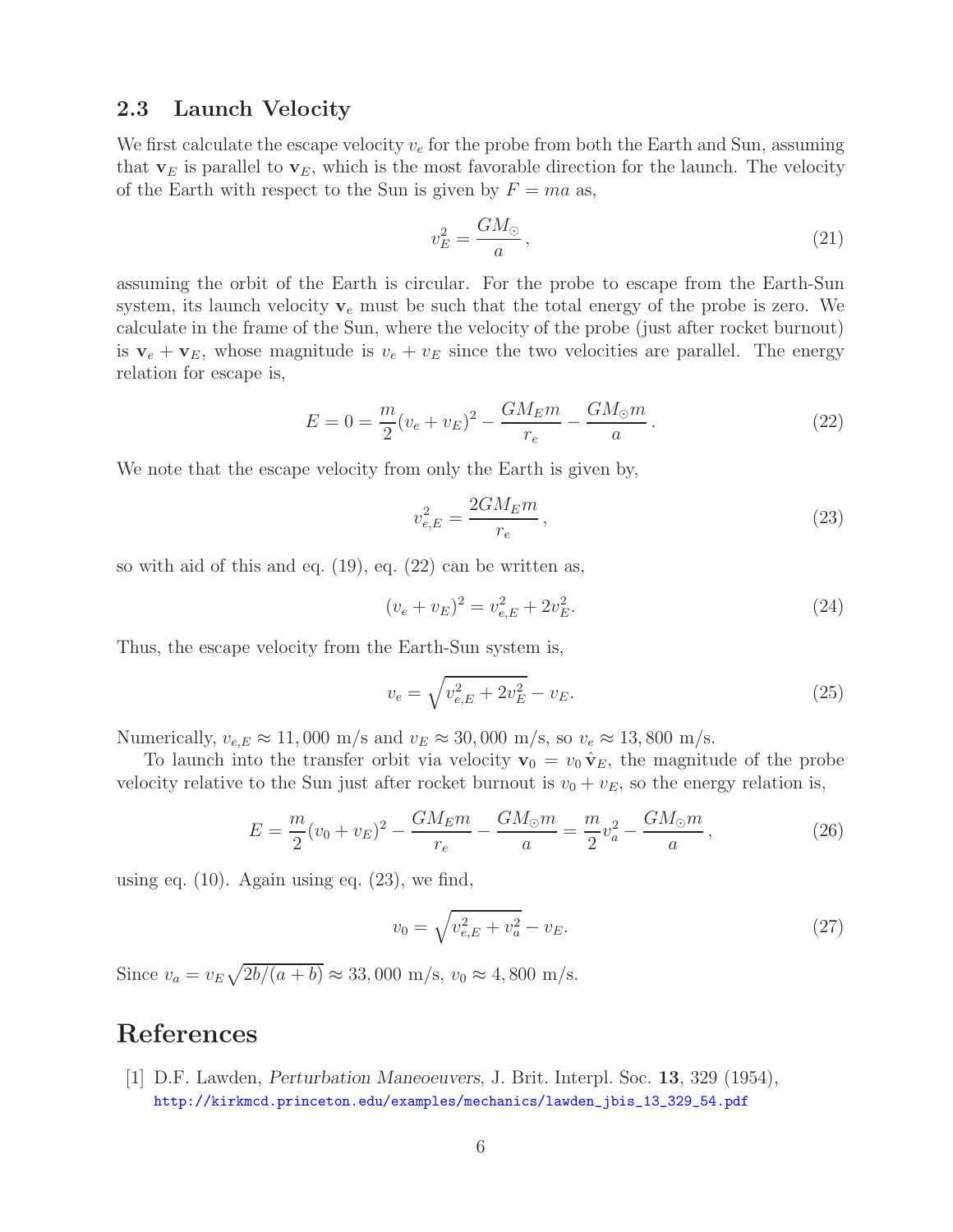# **2.3 Launch Velocity**

We first calculate the escape velocity  $v_e$  for the probe from both the Earth and Sun, assuming that  $\mathbf{v}_E$  is parallel to  $\mathbf{v}_E$ , which is the most favorable direction for the launch. The velocity of the Earth with respect to the Sun is given by  $F = ma$  as,

$$
v_E^2 = \frac{GM_\odot}{a},\tag{21}
$$

assuming the orbit of the Earth is circular. For the probe to escape from the Earth-Sun system, its launch velocity  $v_e$  must be such that the total energy of the probe is zero. We calculate in the frame of the Sun, where the velocity of the probe (just after rocket burnout) is  $\mathbf{v}_e + \mathbf{v}_E$ , whose magnitude is  $v_e + v_E$  since the two velocities are parallel. The energy relation for escape is,

$$
E = 0 = \frac{m}{2}(v_e + v_E)^2 - \frac{GM_Em}{r_e} - \frac{GM_\odot m}{a}.
$$
 (22)

We note that the escape velocity from only the Earth is given by,

$$
v_{e,E}^2 = \frac{2GM_Em}{r_e},
$$
\n(23)

so with aid of this and eq. (19), eq. (22) can be written as,

$$
(v_e + v_E)^2 = v_{e,E}^2 + 2v_E^2.
$$
\n(24)

Thus, the escape velocity from the Earth-Sun system is,

$$
v_e = \sqrt{v_{e,E}^2 + 2v_E^2} - v_E.
$$
\n(25)

Numerically,  $v_{e,E} \approx 11,000 \text{ m/s}$  and  $v_E \approx 30,000 \text{ m/s}$ , so  $v_e \approx 13,800 \text{ m/s}$ .

To launch into the transfer orbit via velocity  $\mathbf{v}_0 = v_0 \hat{\mathbf{v}}_E$ , the magnitude of the probe velocity relative to the Sun just after rocket burnout is  $v_0 + v_E$ , so the energy relation is,

$$
E = \frac{m}{2}(v_0 + v_E)^2 - \frac{GM_Em}{r_e} - \frac{GM_\odot m}{a} = \frac{m}{2}v_a^2 - \frac{GM_\odot m}{a},\tag{26}
$$

using eq.  $(10)$ . Again using eq.  $(23)$ , we find,

$$
v_0 = \sqrt{v_{e,E}^2 + v_a^2} - v_E.
$$
\n(27)

Since  $v_a = v_E \sqrt{\frac{2b}{(a+b)}} \approx 33,000 \text{ m/s}, v_0 \approx 4,800 \text{ m/s}.$ 

## **References**

[1] D.F. Lawden, *Perturbation Maneoeuvers*, J. Brit. Interpl. Soc. **13**, 329 (1954), http://kirkmcd.princeton.edu/examples/mechanics/lawden\_jbis\_13\_329\_54.pdf